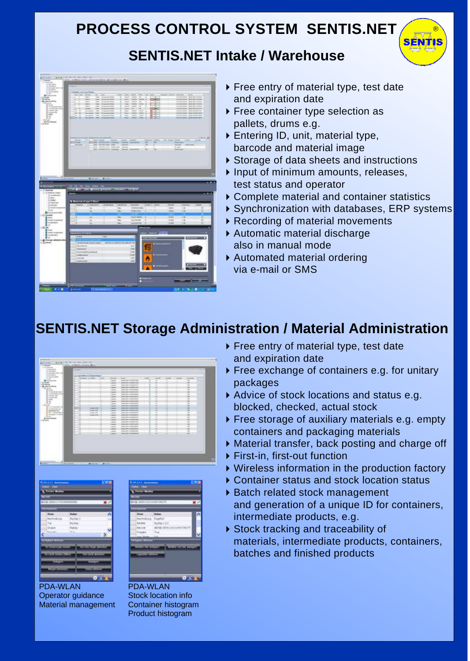# **PROCESS CONTROL SYSTEM SENTIS.NET**

#### **SENTIS.NET Intake / Warehouse**



▶ Free entry of material type, test date and expiration date

SÉN7

- ▶ Free container type selection as pallets, drums e.g.
- ▶ Entering ID, unit, material type, barcode and material image
- ▶ Storage of data sheets and instructions
- $\blacktriangleright$  Input of minimum amounts, releases, test status and operator
- ▶ Complete material and container statistics
- ▶ Synchronization with databases, ERP systems
- ▶ Recording of material movements
- Automatic material discharge also in manual mode
- Automated material ordering via e-mail or SMS

### **SENTIS.NET Storage Administration / Material Administration**

| <b>Distances ment and</b><br><b><i>STANDARD</i></b><br>a Harolinn i Teamingo<br><b>Creative</b><br>$rac{1}{2}$<br>$-$<br>$\cdots$<br>$-0.00000$<br><b>IL ALASKA</b><br>$-$<br><b>Service</b><br>-<br>$\sim$<br>State of<br>$\overline{\phantom{a}}$<br>÷<br>speed clear constant-com-<br>≖<br>÷<br><b>Winnerstone</b><br>-<br>77<br>$\frac{1}{2} \left( \frac{1}{2} \right) \left( \frac{1}{2} \right) \left( \frac{1}{2} \right)$<br>×<br>×<br>14 CONTRAR<br>٠<br><b>Wind side in continue case</b><br>٠<br><b>Lakes</b><br><b>LESSAGE</b><br><b>Wind controlled chief</b><br>$\sim$<br>×<br>×<br>٠<br><b>Lakes</b><br>х<br>1 Brownwicher<br>×<br>ü<br>×<br>٠<br>٠<br><b>WAS ARRESTED FOR THEFT.</b><br><b>Lake A</b><br>$-1.0 - 1.0 - 4$<br>×<br>٠<br><b>Brint, MAY 1014011-00000</b><br>$\sim$<br>т<br>×<br>$-0.0000$<br>di monte<br>٠<br>u<br>w<br>٠<br>۱<br><b>Links</b><br><b>Jack Warriord Avenue</b><br><b>Bronzenerg and Millers</b><br>Brommergen racial | ---<br>$\sim$<br>÷<br>$\sim$ |
|--------------------------------------------------------------------------------------------------------------------------------------------------------------------------------------------------------------------------------------------------------------------------------------------------------------------------------------------------------------------------------------------------------------------------------------------------------------------------------------------------------------------------------------------------------------------------------------------------------------------------------------------------------------------------------------------------------------------------------------------------------------------------------------------------------------------------------------------------------------------------------------------------------------------------------------------------------------------|------------------------------|
|                                                                                                                                                                                                                                                                                                                                                                                                                                                                                                                                                                                                                                                                                                                                                                                                                                                                                                                                                                    |                              |
|                                                                                                                                                                                                                                                                                                                                                                                                                                                                                                                                                                                                                                                                                                                                                                                                                                                                                                                                                                    |                              |
|                                                                                                                                                                                                                                                                                                                                                                                                                                                                                                                                                                                                                                                                                                                                                                                                                                                                                                                                                                    |                              |
|                                                                                                                                                                                                                                                                                                                                                                                                                                                                                                                                                                                                                                                                                                                                                                                                                                                                                                                                                                    |                              |
|                                                                                                                                                                                                                                                                                                                                                                                                                                                                                                                                                                                                                                                                                                                                                                                                                                                                                                                                                                    |                              |
|                                                                                                                                                                                                                                                                                                                                                                                                                                                                                                                                                                                                                                                                                                                                                                                                                                                                                                                                                                    |                              |
|                                                                                                                                                                                                                                                                                                                                                                                                                                                                                                                                                                                                                                                                                                                                                                                                                                                                                                                                                                    | $\sim$                       |
|                                                                                                                                                                                                                                                                                                                                                                                                                                                                                                                                                                                                                                                                                                                                                                                                                                                                                                                                                                    | $\sim$<br>÷                  |
|                                                                                                                                                                                                                                                                                                                                                                                                                                                                                                                                                                                                                                                                                                                                                                                                                                                                                                                                                                    |                              |
| ۰<br>$\sim$<br><b>Hardware</b><br>tanks value interesting depart-<br>÷<br>×<br>×<br>B cases (49)<br>w<br>×<br>w<br>٠                                                                                                                                                                                                                                                                                                                                                                                                                                                                                                                                                                                                                                                                                                                                                                                                                                               | $\sim$<br>$\sim$             |
| ٠<br><b>Lakes</b><br><b>Wilder Card</b><br><b>SHOW HOTEL</b><br><b>B</b> looked list:<br>÷<br>spring right introduce expense<br>$\overline{\phantom{a}}$<br>⊸<br>÷                                                                                                                                                                                                                                                                                                                                                                                                                                                                                                                                                                                                                                                                                                                                                                                                 | $\sim$                       |
| ٠<br><b>Land Rd</b><br><b>Britannia</b><br>ú<br>×<br>٠<br>w<br>×<br><b><i>UPACARE</i></b><br><b>SERVICE</b><br>----                                                                                                                                                                                                                                                                                                                                                                                                                                                                                                                                                                                                                                                                                                                                                                                                                                                | -                            |
| ×<br>×<br>print the "contribution<br>×<br>÷<br>÷<br><b>HEAR</b>                                                                                                                                                                                                                                                                                                                                                                                                                                                                                                                                                                                                                                                                                                                                                                                                                                                                                                    | $\sim$                       |
| w<br>w<br>٠<br>٠<br>×<br><b>AND GRE</b><br><b>Lake A</b><br>---                                                                                                                                                                                                                                                                                                                                                                                                                                                                                                                                                                                                                                                                                                                                                                                                                                                                                                    | $\sim$                       |
| <b>B</b> + 13 to an additional<br>н<br>and and<br>٠<br>٠<br>×<br><b>CONTRACTOR</b><br><b>Service Cold</b>                                                                                                                                                                                                                                                                                                                                                                                                                                                                                                                                                                                                                                                                                                                                                                                                                                                          | $\sim$                       |
| -Businessee (4)<br><b>MALAN/AMMONS</b><br>и<br>٠<br>۰<br>٠<br>۰<br><b>Harley</b><br><b>THE R. P. LEWIS CO., LANSING.</b>                                                                                                                                                                                                                                                                                                                                                                                                                                                                                                                                                                                                                                                                                                                                                                                                                                           | $\sim$                       |
| To management their<br>$\rightarrow$<br>и<br>Streets - complex last - \$1<br>۰<br><b>CONTRACTOR</b><br><b>SENIOR CARD TO CONSULTANCE</b><br>٠<br>÷<br>т<br><b>CALLS</b>                                                                                                                                                                                                                                                                                                                                                                                                                                                                                                                                                                                                                                                                                                                                                                                            | $\equiv$                     |
| St stream tronged<br>u<br>u<br>٠<br>٠<br><b>Dealer Ford Clark</b><br><b>Lines</b><br><b>ARCHIVE</b><br><b>MARKET</b>                                                                                                                                                                                                                                                                                                                                                                                                                                                                                                                                                                                                                                                                                                                                                                                                                                               | $\sim$                       |
| ÷<br>и<br>×<br><b>CONSULTS</b><br>÷<br><b>Land R</b><br><b>DOM: NO</b><br>÷<br>×                                                                                                                                                                                                                                                                                                                                                                                                                                                                                                                                                                                                                                                                                                                                                                                                                                                                                   | $\sim$                       |
| di terminismo<br>×<br>×<br>ü<br>u<br>w<br>×<br><b>Lease</b><br>-----<br><b>SHOW</b>                                                                                                                                                                                                                                                                                                                                                                                                                                                                                                                                                                                                                                                                                                                                                                                                                                                                                | $\sim$                       |
| $\overline{\phantom{a}}$<br>u<br>×<br><b><i><u>CONFIDENCIAL</u></i></b><br><b>Lesler</b><br><b>Grade And</b><br>ч<br>÷                                                                                                                                                                                                                                                                                                                                                                                                                                                                                                                                                                                                                                                                                                                                                                                                                                             | $\sim$                       |
| ×<br>٠<br>×<br>u<br>u<br><b>Lease</b><br><b>ANDRE</b><br><b><i>DISCUSS</i></b>                                                                                                                                                                                                                                                                                                                                                                                                                                                                                                                                                                                                                                                                                                                                                                                                                                                                                     | u                            |
| ÷<br>and car<br><b><i><u>PERSONAL</u></i></b><br>ы<br>×<br><b>Lake A</b><br>÷                                                                                                                                                                                                                                                                                                                                                                                                                                                                                                                                                                                                                                                                                                                                                                                                                                                                                      | $\sim$                       |
| ×<br>si<br>٠<br>w<br>×<br><b>ANCARTONIA DI</b><br><b>HEAR</b>                                                                                                                                                                                                                                                                                                                                                                                                                                                                                                                                                                                                                                                                                                                                                                                                                                                                                                      | w                            |
| ×<br><b>BULL ARE COMMISSION</b><br>$\overline{a}$<br>×<br>×<br>ч<br><b>Lake A</b>                                                                                                                                                                                                                                                                                                                                                                                                                                                                                                                                                                                                                                                                                                                                                                                                                                                                                  | $\equiv$                     |
| ٠<br>×<br>×<br>×<br>٠<br><b>Laurence</b><br>۰<br><b>BOX NETTING ROOM</b>                                                                                                                                                                                                                                                                                                                                                                                                                                                                                                                                                                                                                                                                                                                                                                                                                                                                                           | ÷                            |
| ٠                                                                                                                                                                                                                                                                                                                                                                                                                                                                                                                                                                                                                                                                                                                                                                                                                                                                                                                                                                  |                              |





PDA-WLAN PDA-WLAN Operator guidance Stock location info Material management Container histogram

Product histogram

- ▶ Free entry of material type, test date and expiration date
- ▶ Free exchange of containers e.g. for unitary packages
- Advice of stock locations and status e.g. blocked, checked, actual stock
- ▶ Free storage of auxiliary materials e.g. empty containers and packaging materials
- Material transfer, back posting and charge off
- ▶ First-in, first-out function
- Wireless information in the production factory
- ▶ Container status and stock location status
- ▶ Batch related stock management
- and generation of a unique ID for containers, intermediate products, e.g.
- ▶ Stock tracking and traceability of materials, intermediate products, containers, batches and finished products